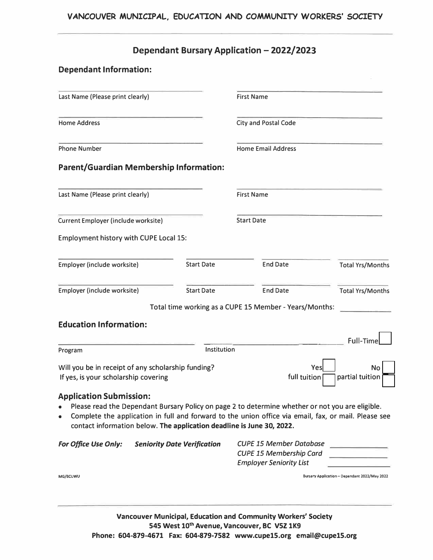## **Dependant Bursary Application - 2022/2023**

# **Dependant Information:**  Last Name (Please print clearly) First Name Home Address City and Postal Code Phone Number **Home Email Address Parent/Guardian Membership Information:**  Last Name (Please print clearly) First Name Current Employer (include worksite) Start Date Employment history with CUPE Local 15: Employer (include worksite) Start Date Start Date Employer (include worksite) Start Date End Date Total time working as a CUPE 15 Member - Years/Months: **Education Information:**  Total Yrs/Months Total Yrs/Months Program \_\_\_\_\_\_\_\_\_\_\_\_\_\_\_ Full-Time □ Institution Will you be in receipt of any scholarship funding? If yes, is your scholarship covering **Application Submission:**  Yes No full tuition  $\Box$  partial tuition • Please read the Dependant Bursary Policy on page 2 to determine whether or not you are eligible. • Complete the application in full and forward to the union office via email, fax, or mail. Please see contact information below. **The application deadline is June 30, 2022.** *For Of/ice Use Only: Seniority Date Verification CUPE 15 Member Database CUPE 15 Membership Card Employer Seniority List*

**MG/BCUWU Bursary Application-Dependant 2022/May 2022** 

**Vancouver Municipal, Education and Community Workers' Society 545 West 10th Avenue, Vancouver, BC V5Z 1K9 Phone: 604-879-4671 Fax: 604-879-7582 www.cupe15.org email@cupe15.org**